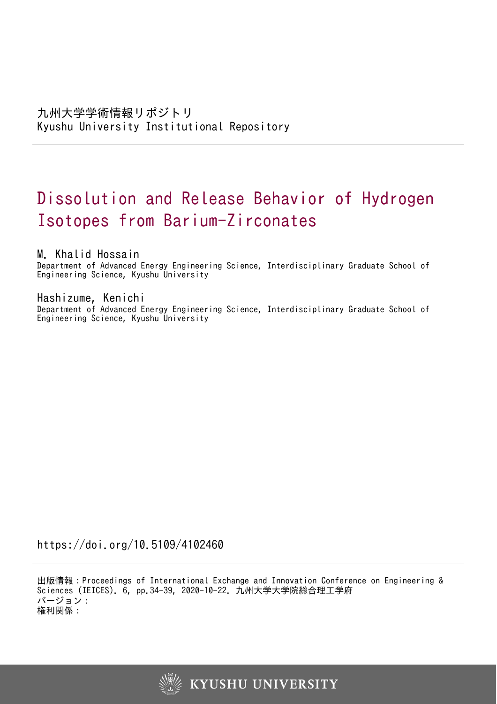# Dissolution and Release Behavior of Hydrogen Isotopes from Barium-Zirconates

M. Khalid Hossain

Department of Advanced Energy Engineering Science, Interdisciplinary Graduate School of Engineering Science, Kyushu University

Hashizume, Kenichi

Department of Advanced Energy Engineering Science, Interdisciplinary Graduate School of Engineering Science, Kyushu University

https://doi.org/10.5109/4102460

出版情報:Proceedings of International Exchange and Innovation Conference on Engineering & Sciences (IEICES). 6, pp.34-39, 2020-10-22. 九州大学大学院総合理工学府 バージョン: 権利関係:

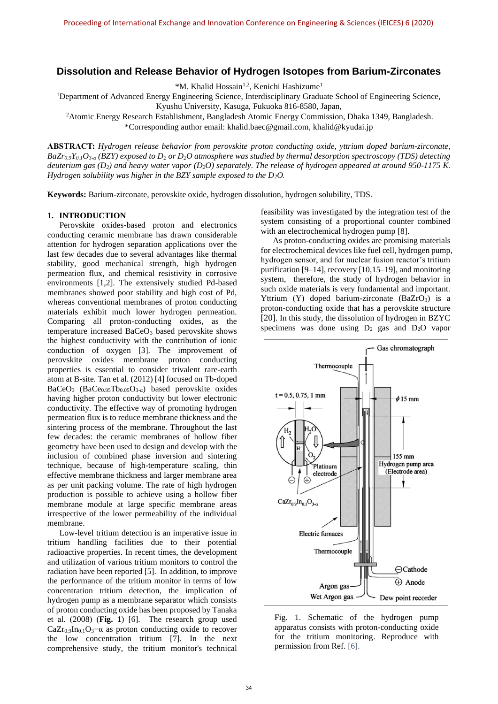## **Dissolution and Release Behavior of Hydrogen Isotopes from Barium-Zirconates**

\*M. Khalid Hossain<sup>1,2</sup>, Kenichi Hashizume<sup>1</sup>

<sup>1</sup>Department of Advanced Energy Engineering Science, Interdisciplinary Graduate School of Engineering Science,

Kyushu University, Kasuga, Fukuoka 816-8580, Japan,

<sup>2</sup>Atomic Energy Research Establishment, Bangladesh Atomic Energy Commission, Dhaka 1349, Bangladesh. \*Corresponding author email: khalid.baec@gmail.com, khalid@kyudai.jp

**ABSTRACT:** *Hydrogen release behavior from perovskite proton conducting oxide, yttrium doped barium-zirconate, BaZr0.9Y0.1O3-α (BZY) exposed to D<sup>2</sup> or D2O atmosphere was studied by thermal desorption spectroscopy (TDS) detecting deuterium gas (D2) and heavy water vapor (D2O) separately. The release of hydrogen appeared at around 950-1175 K. Hydrogen solubility was higher in the BZY sample exposed to the D2O.* 

**Keywords:** Barium-zirconate, perovskite oxide, hydrogen dissolution, hydrogen solubility, TDS.

## **1. INTRODUCTION**

Perovskite oxides-based proton and electronics conducting ceramic membrane has drawn considerable attention for hydrogen separation applications over the last few decades due to several advantages like thermal stability, good mechanical strength, high hydrogen permeation flux, and chemical resistivity in corrosive environments [1,2]. The extensively studied Pd-based membranes showed poor stability and high cost of Pd, whereas conventional membranes of proton conducting materials exhibit much lower hydrogen permeation. Comparing all proton-conducting oxides, as the temperature increased BaCeO<sub>3</sub> based perovskite shows the highest conductivity with the contribution of ionic conduction of oxygen [3]. The improvement of perovskite oxides membrane proton conducting properties is essential to consider trivalent rare-earth atom at B-site. Tan et al. (2012) [4] focused on Tb-doped BaCeO<sub>3</sub> (BaCe<sub>0.95</sub>Tb<sub>0.05</sub>O<sub>3-a</sub>) based perovskite oxides having higher proton conductivity but lower electronic conductivity. The effective way of promoting hydrogen permeation flux is to reduce membrane thickness and the sintering process of the membrane. Throughout the last few decades: the ceramic membranes of hollow fiber geometry have been used to design and develop with the inclusion of combined phase inversion and sintering technique, because of high-temperature scaling, thin effective membrane thickness and larger membrane area as per unit packing volume. The rate of high hydrogen production is possible to achieve using a hollow fiber membrane module at large specific membrane areas irrespective of the lower permeability of the individual membrane.

Low-level tritium detection is an imperative issue in tritium handling facilities due to their potential radioactive properties. In recent times, the development and utilization of various tritium monitors to control the radiation have been reported [5]. In addition, to improve the performance of the tritium monitor in terms of low concentration tritium detection, the implication of hydrogen pump as a membrane separator which consists of proton conducting oxide has been proposed by Tanaka et al. (2008) (**Fig. 1**) [6]. The research group used  $CaZr_{0.9}In_{0.1}O_3\text{--}\alpha$  as proton conducting oxide to recover the low concentration tritium [7]. In the next comprehensive study, the tritium monitor's technical feasibility was investigated by the integration test of the system consisting of a proportional counter combined with an electrochemical hydrogen pump [8].

As proton-conducting oxides are promising materials for electrochemical devices like fuel cell, hydrogen pump, hydrogen sensor, and for nuclear fusion reactor's tritium purification [9–14], recovery [10,15–19], and monitoring system, therefore, the study of hydrogen behavior in such oxide materials is very fundamental and important. Yttrium (Y) doped barium-zirconate  $(BaZrO<sub>3</sub>)$  is a proton-conducting oxide that has a perovskite structure [20]. In this study, the dissolution of hydrogen in BZYC specimens was done using  $D_2$  gas and  $D_2O$  vapor



Fig. 1. Schematic of the hydrogen pump apparatus consists with proton-conducting oxide for the tritium monitoring. Reproduce with permission from Ref. [6].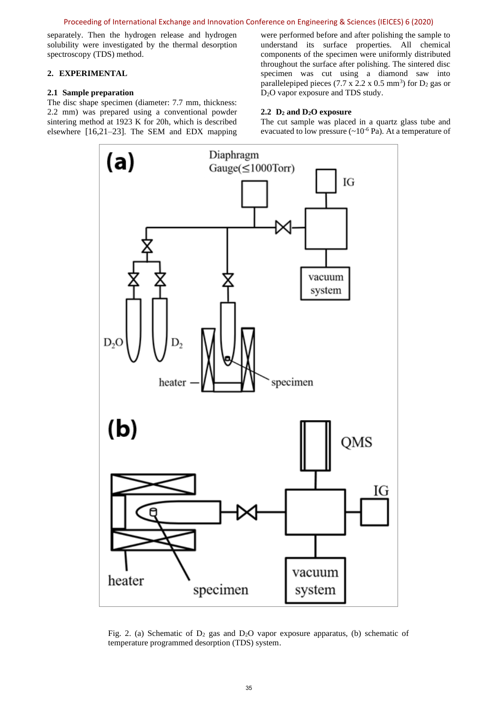separately. Then the hydrogen release and hydrogen solubility were investigated by the thermal desorption spectroscopy (TDS) method.

## **2. EXPERIMENTAL**

## **2.1 Sample preparation**

The disc shape specimen (diameter: 7.7 mm, thickness: 2.2 mm) was prepared using a conventional powder sintering method at 1923 K for 20h, which is described elsewhere [16,21–23]. The SEM and EDX mapping

were performed before and after polishing the sample to understand its surface properties. All chemical components of the specimen were uniformly distributed throughout the surface after polishing. The sintered disc specimen was cut using a diamond saw into parallelepiped pieces  $(7.7 \times 2.2 \times 0.5 \text{ mm}^3)$  for  $D_2$  gas or D<sub>2</sub>O vapor exposure and TDS study.

## **2.2 D<sup>2</sup> and D2O exposure**

The cut sample was placed in a quartz glass tube and evacuated to low pressure  $({\sim}10^{-6}$  Pa). At a temperature of



Fig. 2. (a) Schematic of  $D_2$  gas and  $D_2O$  vapor exposure apparatus, (b) schematic of temperature programmed desorption (TDS) system.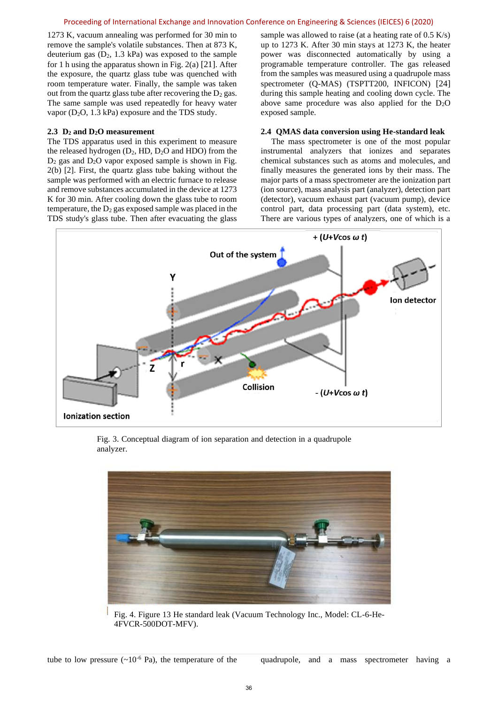#### Proceeding of International Exchange and Innovation Conference on Engineering & Sciences (IEICES) 6 (2020)

1273 K, vacuum annealing was performed for 30 min to remove the sample's volatile substances. Then at 873 K, deuterium gas  $(D_2, 1.3 \text{ kPa})$  was exposed to the sample for 1 h using the apparatus shown in Fig. 2(a) [21]. After the exposure, the quartz glass tube was quenched with room temperature water. Finally, the sample was taken out from the quartz glass tube after recovering the  $D_2$  gas. The same sample was used repeatedly for heavy water vapor (D2O, 1.3 kPa) exposure and the TDS study.

## **2.3 D<sup>2</sup> and D2O measurement**

The TDS apparatus used in this experiment to measure the released hydrogen (D2, HD, D2O and HDO) from the  $D_2$  gas and  $D_2O$  vapor exposed sample is shown in Fig. 2(b) [2]. First, the quartz glass tube baking without the sample was performed with an electric furnace to release and remove substances accumulated in the device at 1273 K for 30 min. After cooling down the glass tube to room temperature, the  $D_2$  gas exposed sample was placed in the TDS study's glass tube. Then after evacuating the glass

sample was allowed to raise (at a heating rate of 0.5 K/s) up to 1273 K. After 30 min stays at 1273 K, the heater power was disconnected automatically by using a programable temperature controller. The gas released from the samples was measured using a quadrupole mass spectrometer (Q-MAS) (TSPTT200, INFICON) [24] during this sample heating and cooling down cycle. The above same procedure was also applied for the  $D_2O$ exposed sample.

## **2.4 QMAS data conversion using He-standard leak**

The mass spectrometer is one of the most popular instrumental analyzers that ionizes and separates chemical substances such as atoms and molecules, and finally measures the generated ions by their mass. The major parts of a mass spectrometer are the ionization part (ion source), mass analysis part (analyzer), detection part (detector), vacuum exhaust part (vacuum pump), device control part, data processing part (data system), etc. There are various types of analyzers, one of which is a



Fig. 3. Conceptual diagram of ion separation and detection in a quadrupole analyzer.



Fig. 4. Figure 13 He standard leak (Vacuum Technology Inc., Model: CL-6-He-4FVCR-500DOT-MFV).

tube to low pressure  $({\sim}10^{-6}$  Pa), the temperature of the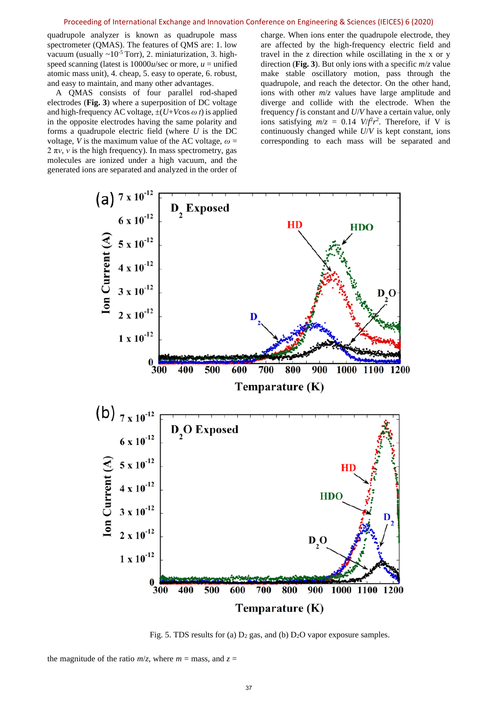#### Proceeding of International Exchange and Innovation Conference on Engineering & Sciences (IEICES) 6 (2020)

quadrupole analyzer is known as quadrupole mass spectrometer (QMAS). The features of QMS are: 1. low vacuum (usually  $\sim 10^{-5}$  Torr), 2. miniaturization, 3. highspeed scanning (latest is  $10000u/sec$  or more,  $u =$  unified atomic mass unit), 4. cheap, 5. easy to operate, 6. robust, and easy to maintain, and many other advantages.

A QMAS consists of four parallel rod-shaped electrodes (**Fig. 3**) where a superposition of DC voltage and high-frequency AC voltage,  $\pm(U+V\cos \omega t)$  is applied in the opposite electrodes having the same polarity and forms a quadrupole electric field (where *U* is the DC voltage, *V* is the maximum value of the AC voltage,  $\omega$  =  $2 \pi v$ , *v* is the high frequency). In mass spectrometry, gas molecules are ionized under a high vacuum, and the generated ions are separated and analyzed in the order of charge. When ions enter the quadrupole electrode, they are affected by the high-frequency electric field and travel in the z direction while oscillating in the x or y direction (**Fig. 3**). But only ions with a specific *m*/*z* value make stable oscillatory motion, pass through the quadrupole, and reach the detector. On the other hand, ions with other *m*/*z* values have large amplitude and diverge and collide with the electrode. When the frequency *f* is constant and *U*/*V* have a certain value, only ions satisfying  $m/z = 0.14$  *V*/ $f^2r^2$ . Therefore, if V is continuously changed while *U*/*V* is kept constant, ions corresponding to each mass will be separated and



Fig. 5. TDS results for (a)  $D_2$  gas, and (b)  $D_2O$  vapor exposure samples.

the magnitude of the ratio  $m/z$ , where  $m =$  mass, and  $z =$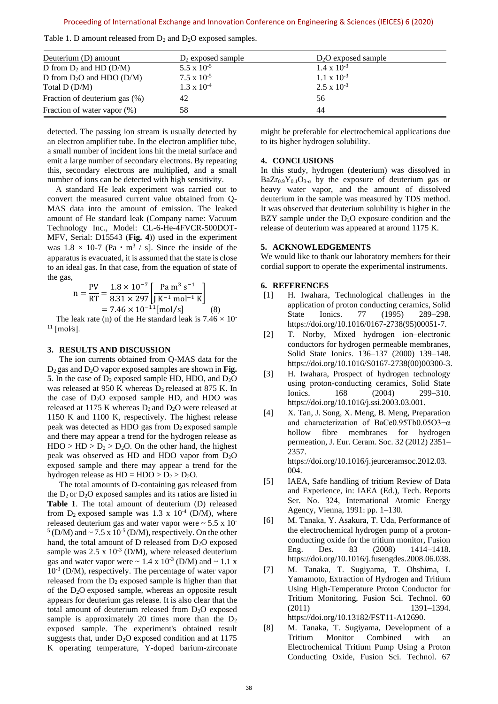| Deuterium (D) amount          | $D_2$ exposed sample | $D_2O$ exposed sample |  |
|-------------------------------|----------------------|-----------------------|--|
| D from $D_2$ and HD (D/M)     | 5.5 x $10^{-5}$      | $1.4 \times 10^{-3}$  |  |
| D from $D_2O$ and HDO (D/M)   | $7.5 \times 10^{-5}$ | $1.1 \times 10^{-3}$  |  |
| Total D (D/M)                 | $1.3 \times 10^{-4}$ | $2.5 \times 10^{-3}$  |  |
| Fraction of deuterium gas (%) | 42                   | 56                    |  |
| Fraction of water vapor (%)   | 58                   | 44                    |  |
|                               |                      |                       |  |

Table 1. D amount released from  $D_2$  and  $D_2O$  exposed samples.

detected. The passing ion stream is usually detected by an electron amplifier tube. In the electron amplifier tube, a small number of incident ions hit the metal surface and emit a large number of secondary electrons. By repeating this, secondary electrons are multiplied, and a small number of ions can be detected with high sensitivity.

A standard He leak experiment was carried out to convert the measured current value obtained from Q-MAS data into the amount of emission. The leaked amount of He standard leak (Company name: Vacuum Technology Inc., Model: CL-6-He-4FVCR-500DOT-MFV, Serial: D15543 (**Fig. 4**)) used in the experiment was  $1.8 \times 10^{-7}$  (Pa  $\cdot$  m<sup>3</sup> / s]. Since the inside of the apparatus is evacuated, it is assumed that the state is close to an ideal gas. In that case, from the equation of state of the gas,

$$
n = \frac{PV}{RT} = \frac{1.8 \times 10^{-7}}{8.31 \times 297} \left[ \frac{Pa \, m^3 \, s^{-1}}{J \, K^{-1} \, mol^{-1} \, K} \right]
$$
  
= 7.46 × 10<sup>-11</sup> [mol/s] (8)

The leak rate (n) of the He standard leak is  $7.46 \times 10^{-7}$  $11$  [mol/s].

#### **3. RESULTS AND DISCUSSION**

The ion currents obtained from Q-MAS data for the D2 gas and D2O vapor exposed samples are shown in **Fig. 5**. In the case of  $D_2$  exposed sample HD, HDO, and  $D_2O$ was released at 950 K whereas  $D_2$  released at 875 K. In the case of  $D_2O$  exposed sample HD, and HDO was released at 1175 K whereas  $D_2$  and  $D_2O$  were released at 1150 K and 1100 K, respectively. The highest release peak was detected as HDO gas from  $D_2$  exposed sample and there may appear a trend for the hydrogen release as  $HDO > HD > D<sub>2</sub> > D<sub>2</sub>O$ . On the other hand, the highest peak was observed as HD and HDO vapor from D2O exposed sample and there may appear a trend for the hydrogen release as  $HD = HDO > D<sub>2</sub> > D<sub>2</sub>O$ .

The total amounts of D-containing gas released from the  $D_2$  or  $D_2O$  exposed samples and its ratios are listed in **Table 1**. The total amount of deuterium (D) released from  $D_2$  exposed sample was 1.3 x 10<sup>-4</sup> (D/M), where released deuterium gas and water vapor were  $\sim$  5.5 x 10<sup>-</sup>  $<sup>5</sup>$  (D/M) and  $\sim$  7.5 x 10<sup>-5</sup> (D/M), respectively. On the other</sup> hand, the total amount of  $D$  released from  $D_2O$  exposed sample was  $2.5 \times 10^{-3}$  (D/M), where released deuterium gas and water vapor were  $\sim 1.4 \times 10^{-3}$  (D/M) and  $\sim 1.1 \times$ 10-3 (D/M), respectively. The percentage of water vapor released from the  $D_2$  exposed sample is higher than that of the D2O exposed sample, whereas an opposite result appears for deuterium gas release. It is also clear that the total amount of deuterium released from  $D_2O$  exposed sample is approximately 20 times more than the  $D_2$ exposed sample. The experiment's obtained result suggests that, under  $D_2O$  exposed condition and at 1175 K operating temperature, Y-doped barium-zirconate

might be preferable for electrochemical applications due to its higher hydrogen solubility.

#### **4. CONCLUSIONS**

In this study, hydrogen (deuterium) was dissolved in  $BaZr_{0.9}Y_{0.1}O_{3-\alpha}$  by the exposure of deuterium gas or heavy water vapor, and the amount of dissolved deuterium in the sample was measured by TDS method. It was observed that deuterium solubility is higher in the BZY sample under the  $D_2O$  exposure condition and the release of deuterium was appeared at around 1175 K.

#### **5. ACKNOWLEDGEMENTS**

We would like to thank our laboratory members for their cordial support to operate the experimental instruments.

#### **6. REFERENCES**

- [1] H. Iwahara, Technological challenges in the application of proton conducting ceramics, Solid State Ionics. 77 (1995) 289–298. https://doi.org/10.1016/0167-2738(95)00051-7.
- [2] T. Norby, Mixed hydrogen ion–electronic conductors for hydrogen permeable membranes, Solid State Ionics. 136–137 (2000) 139–148. https://doi.org/10.1016/S0167-2738(00)00300-3.
- [3] H. Iwahara, Prospect of hydrogen technology using proton-conducting ceramics, Solid State Ionics. 168 (2004) 299-310. https://doi.org/10.1016/j.ssi.2003.03.001.
- [4] X. Tan, J. Song, X. Meng, B. Meng, Preparation and characterization of BaCe0.95Tb0.05O3−α hollow fibre membranes for hydrogen permeation, J. Eur. Ceram. Soc. 32 (2012) 2351– 2357.

https://doi.org/10.1016/j.jeurceramsoc.2012.03. 004.

- [5] IAEA, Safe handling of tritium Review of Data and Experience, in: IAEA (Ed.), Tech. Reports Ser. No. 324, International Atomic Energy Agency, Vienna, 1991: pp. 1–130.
- [6] M. Tanaka, Y. Asakura, T. Uda, Performance of the electrochemical hydrogen pump of a protonconducting oxide for the tritium monitor, Fusion Eng. Des. 83 (2008) 1414–1418. https://doi.org/10.1016/j.fusengdes.2008.06.038.
- [7] M. Tanaka, T. Sugiyama, T. Ohshima, I. Yamamoto, Extraction of Hydrogen and Tritium Using High-Temperature Proton Conductor for Tritium Monitoring, Fusion Sci. Technol. 60 (2011) 1391–1394. https://doi.org/10.13182/FST11-A12690.
- [8] M. Tanaka, T. Sugiyama, Development of a Tritium Monitor Combined with an Electrochemical Tritium Pump Using a Proton Conducting Oxide, Fusion Sci. Technol. 67